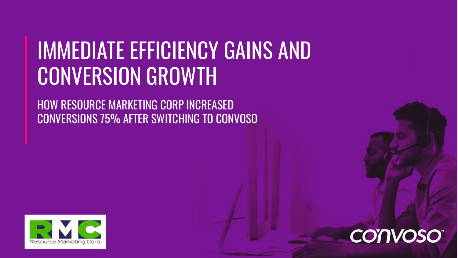## IMMEDIATE EFFICIENCY GAINS AND CONVERSION GROWTH

HOW RESOURCE MARKETING CORP INCREASED CONVERSIONS 75% AFTER SWITCHING TO CONVOSO



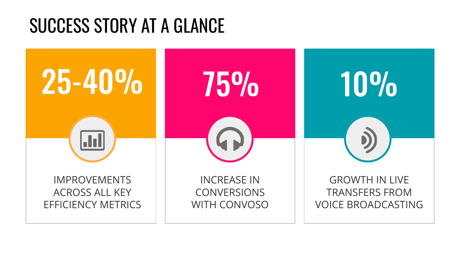### SUCCESS STORY AT A GLANCE

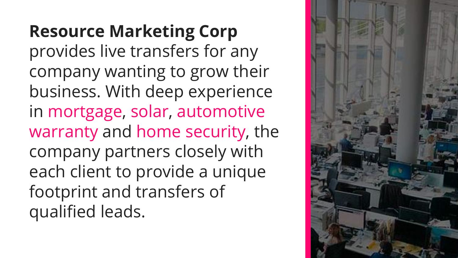**Resource Marketing Corp** provides live transfers for any company wanting to grow their business. With deep experience in mortgage, solar, automotive warranty and home security, the company partners closely with each client to provide a unique footprint and transfers of qualified leads.

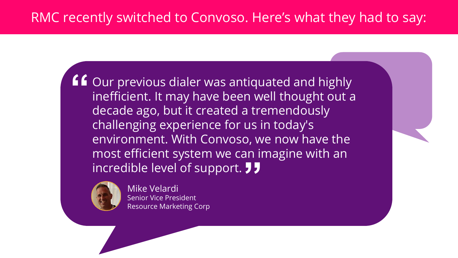**f** Our previous dialer was antiquated and highly<br>inefficient. It may have been well thought out a<br>desade ago, but it created a tremendoughy inefficient. It may have been well thought out a decade ago, but it created a tremendously challenging experience for us in today's environment. With Convoso, we now have the most efficient system we can imagine with an<br>incredible level of support. JJ incredible level of support. **JJ** 



Mike Velardi Senior Vice President Resource Marketing Corp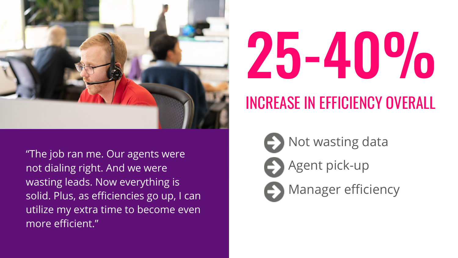



### INCREASE IN EFFICIENCY OVERALL

Not wasting data

**C** Manager efficiency

**Agent pick-up** 

"The job ran me. Our agents were not dialing right. And we were wasting leads. Now everything is solid. Plus, as efficiencies go up, I can utilize my extra time to become even more efficient."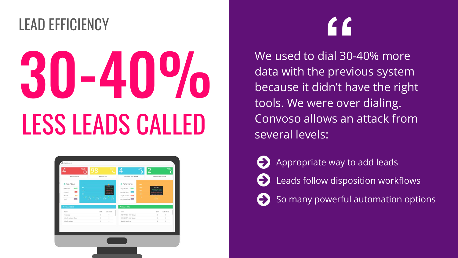# 30-40% LESS LEADS CALLED LEAD EFFICIENCY **"**



We used to dial 30-40% more data with the previous system because it didn't have the right tools. We were over dialing. Convoso allows an attack from several levels:

Appropriate way to add leads Leads follow disposition workflows So many powerful automation options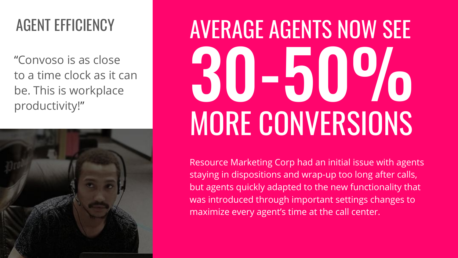"Convoso is as close to a time clock as it can be. This is workplace productivity!"



# 30-50% MORE CONVERSIONS AGENT EFFICIENCY **AVERAGE AGENTS NOW SEE**

Resource Marketing Corp had an initial issue with agents staying in dispositions and wrap-up too long after calls, but agents quickly adapted to the new functionality that was introduced through important settings changes to maximize every agent's time at the call center.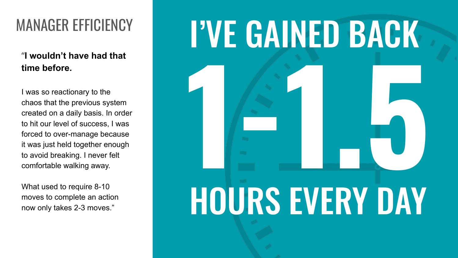### "**I wouldn't have had that time before.**

I was so reactionary to the chaos that the previous system created on a daily basis. In order to hit our level of success, I was forced to over-manage because it was just held together enough to avoid breaking. I never felt comfortable walking away.

What used to require 8-10 moves to complete an action now only takes 2-3 moves."

## MANAGER EFFICIENCY | I'VE GAINED BACK

# **1-1.5**

## HOURS EVERY DAY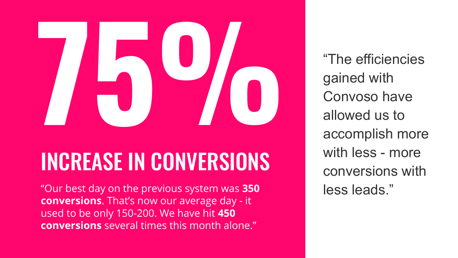

## INCREASE IN CONVERSIONS

less leads." "Our best day on the previous system was **350 conversions**. That's now our average day - it used to be only 150-200. We have hit **450 conversions** several times this month alone."

"The efficiencies gained with Convoso have allowed us to accomplish more with less - more conversions with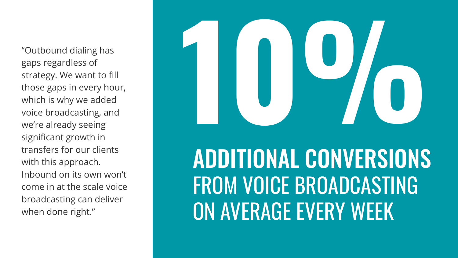"Outbound dialing has gaps regardless of strategy. We want to fill those gaps in every hour, which is why we added voice broadcasting, and we're already seeing significant growth in transfers for our clients with this approach. Inbound on its own won't come in at the scale voice broadcasting can deliver when done right."

# **10%**Peletel

## ADDITIONAL CONVERSIONS FROM VOICE BROADCASTING ON AVERAGE EVERY WEEK